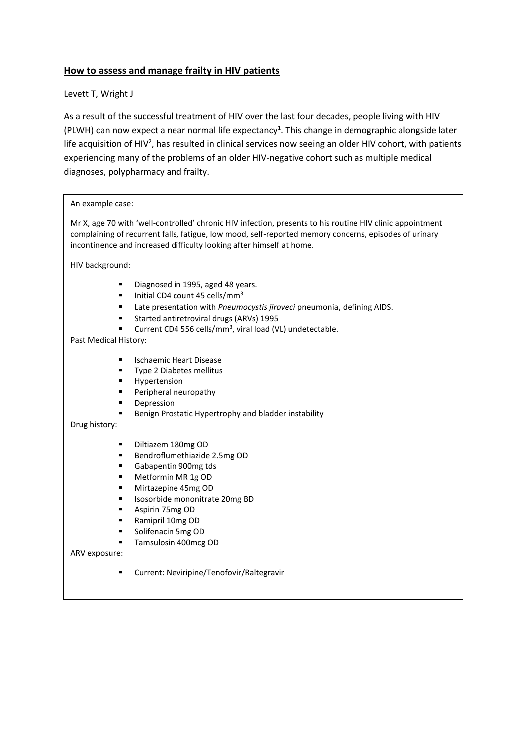# **How to assess and manage frailty in HIV patients**

# Levett T, Wright J

As a result of the successful treatment of HIV over the last four decades, people living with HIV (PLWH) can now expect a near normal life expectancy<sup>1</sup>. This change in demographic alongside later life acquisition of HIV<sup>2</sup>, has resulted in clinical services now seeing an older HIV cohort, with patients experiencing many of the problems of an older HIV-negative cohort such as multiple medical diagnoses, polypharmacy and frailty.

| An example case:                                                                                                                                                                                                                                                                                                            |
|-----------------------------------------------------------------------------------------------------------------------------------------------------------------------------------------------------------------------------------------------------------------------------------------------------------------------------|
| Mr X, age 70 with 'well-controlled' chronic HIV infection, presents to his routine HIV clinic appointment<br>complaining of recurrent falls, fatigue, low mood, self-reported memory concerns, episodes of urinary<br>incontinence and increased difficulty looking after himself at home.                                  |
| HIV background:                                                                                                                                                                                                                                                                                                             |
| Diagnosed in 1995, aged 48 years.<br>٠<br>Initial CD4 count 45 cells/mm <sup>3</sup><br>٠<br>Late presentation with Pneumocystis jiroveci pneumonia, defining AIDS.<br>٠<br>Started antiretroviral drugs (ARVs) 1995<br>٠<br>Current CD4 556 cells/mm <sup>3</sup> , viral load (VL) undetectable.<br>Past Medical History: |
| <b>Ischaemic Heart Disease</b><br>٠<br>Type 2 Diabetes mellitus<br>٠<br>Hypertension<br>٠<br>Peripheral neuropathy<br>٠<br>Depression<br>٠<br>Benign Prostatic Hypertrophy and bladder instability<br>٠<br>Drug history:                                                                                                    |
| Diltiazem 180mg OD<br>٠<br>Bendroflumethiazide 2.5mg OD<br>٠<br>Gabapentin 900mg tds<br>٠<br>Metformin MR 1g OD<br>٠<br>Mirtazepine 45mg OD<br>٠<br>Isosorbide mononitrate 20mg BD<br>٠<br>Aspirin 75mg OD<br>٠<br>Ramipril 10mg OD<br>٠<br>Solifenacin 5mg OD<br>٠<br>Tamsulosin 400mcg OD<br>٠                            |
| ARV exposure:<br>Current: Neviripine/Tenofovir/Raltegravir<br>٠                                                                                                                                                                                                                                                             |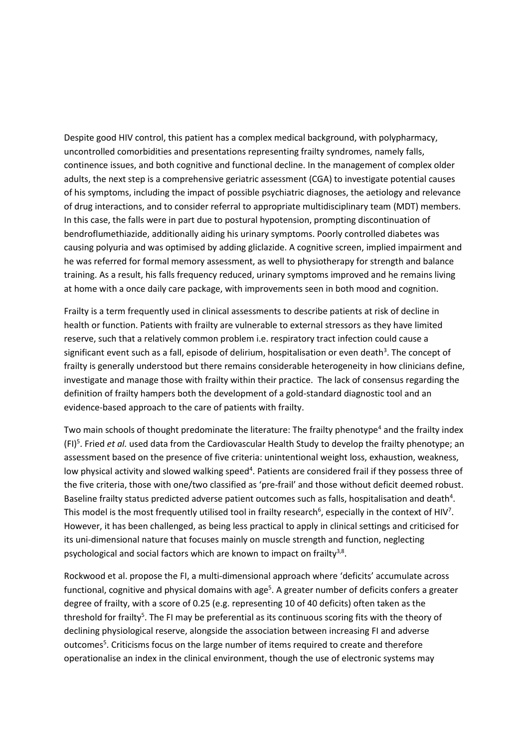Despite good HIV control, this patient has a complex medical background, with polypharmacy, uncontrolled comorbidities and presentations representing frailty syndromes, namely falls, continence issues, and both cognitive and functional decline. In the management of complex older adults, the next step is a comprehensive geriatric assessment (CGA) to investigate potential causes of his symptoms, including the impact of possible psychiatric diagnoses, the aetiology and relevance of drug interactions, and to consider referral to appropriate multidisciplinary team (MDT) members. In this case, the falls were in part due to postural hypotension, prompting discontinuation of bendroflumethiazide, additionally aiding his urinary symptoms. Poorly controlled diabetes was causing polyuria and was optimised by adding gliclazide. A cognitive screen, implied impairment and he was referred for formal memory assessment, as well to physiotherapy for strength and balance training. As a result, his falls frequency reduced, urinary symptoms improved and he remains living at home with a once daily care package, with improvements seen in both mood and cognition.

Frailty is a term frequently used in clinical assessments to describe patients at risk of decline in health or function. Patients with frailty are vulnerable to external stressors as they have limited reserve, such that a relatively common problem i.e. respiratory tract infection could cause a significant event such as a fall, episode of delirium, hospitalisation or even death<sup>3</sup>. The concept of frailty is generally understood but there remains considerable heterogeneity in how clinicians define, investigate and manage those with frailty within their practice. The lack of consensus regarding the definition of frailty hampers both the development of a gold-standard diagnostic tool and an evidence-based approach to the care of patients with frailty.

Two main schools of thought predominate the literature: The frailty phenotype<sup>4</sup> and the frailty index (FI)<sup>5</sup> . Fried *et al.* used data from the Cardiovascular Health Study to develop the frailty phenotype; an assessment based on the presence of five criteria: unintentional weight loss, exhaustion, weakness, low physical activity and slowed walking speed<sup>4</sup>. Patients are considered frail if they possess three of the five criteria, those with one/two classified as 'pre-frail' and those without deficit deemed robust. Baseline frailty status predicted adverse patient outcomes such as falls, hospitalisation and death<sup>4</sup>. This model is the most frequently utilised tool in frailty research<sup>6</sup>, especially in the context of HIV<sup>7</sup>. However, it has been challenged, as being less practical to apply in clinical settings and criticised for its uni-dimensional nature that focuses mainly on muscle strength and function, neglecting psychological and social factors which are known to impact on frailty<sup>3,8</sup>.

Rockwood et al. propose the FI, a multi-dimensional approach where 'deficits' accumulate across functional, cognitive and physical domains with age<sup>5</sup>. A greater number of deficits confers a greater degree of frailty, with a score of 0.25 (e.g. representing 10 of 40 deficits) often taken as the threshold for frailty<sup>5</sup>. The FI may be preferential as its continuous scoring fits with the theory of declining physiological reserve, alongside the association between increasing FI and adverse outcomes<sup>5</sup>. Criticisms focus on the large number of items required to create and therefore operationalise an index in the clinical environment, though the use of electronic systems may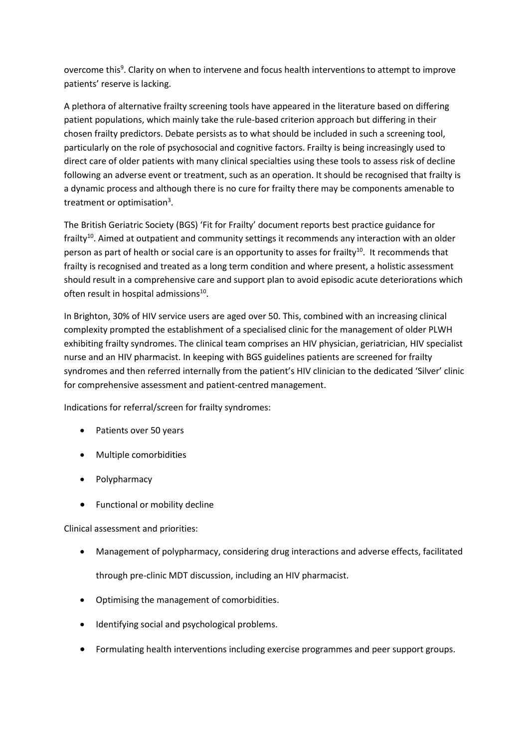overcome this<sup>9</sup>. Clarity on when to intervene and focus health interventions to attempt to improve patients' reserve is lacking.

A plethora of alternative frailty screening tools have appeared in the literature based on differing patient populations, which mainly take the rule-based criterion approach but differing in their chosen frailty predictors. Debate persists as to what should be included in such a screening tool, particularly on the role of psychosocial and cognitive factors. Frailty is being increasingly used to direct care of older patients with many clinical specialties using these tools to assess risk of decline following an adverse event or treatment, such as an operation. It should be recognised that frailty is a dynamic process and although there is no cure for frailty there may be components amenable to treatment or optimisation<sup>3</sup>.

The British Geriatric Society (BGS) 'Fit for Frailty' document reports best practice guidance for  $frailtv^{10}$ . Aimed at outpatient and community settings it recommends any interaction with an older person as part of health or social care is an opportunity to asses for frailty<sup>10</sup>. It recommends that frailty is recognised and treated as a long term condition and where present, a holistic assessment should result in a comprehensive care and support plan to avoid episodic acute deteriorations which often result in hospital admissions<sup>10</sup>.

In Brighton, 30% of HIV service users are aged over 50. This, combined with an increasing clinical complexity prompted the establishment of a specialised clinic for the management of older PLWH exhibiting frailty syndromes. The clinical team comprises an HIV physician, geriatrician, HIV specialist nurse and an HIV pharmacist. In keeping with BGS guidelines patients are screened for frailty syndromes and then referred internally from the patient's HIV clinician to the dedicated 'Silver' clinic for comprehensive assessment and patient-centred management.

Indications for referral/screen for frailty syndromes:

- Patients over 50 years
- Multiple comorbidities
- Polypharmacy
- Functional or mobility decline

Clinical assessment and priorities:

- Management of polypharmacy, considering drug interactions and adverse effects, facilitated through pre-clinic MDT discussion, including an HIV pharmacist.
- Optimising the management of comorbidities.
- Identifying social and psychological problems.
- Formulating health interventions including exercise programmes and peer support groups.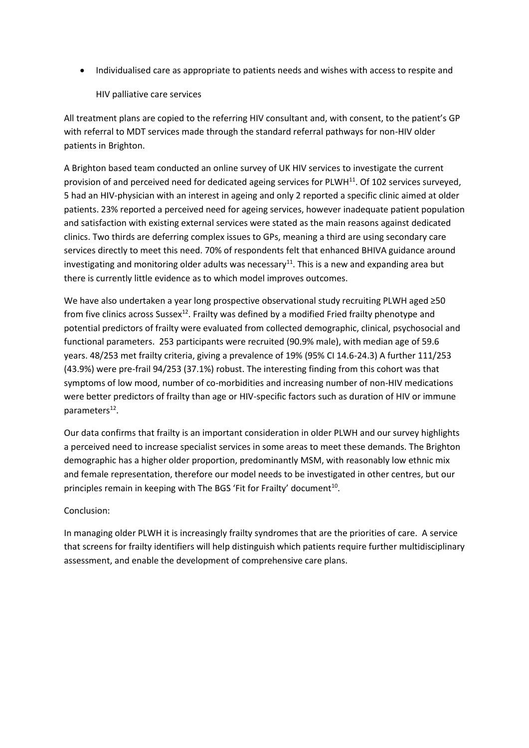Individualised care as appropriate to patients needs and wishes with access to respite and

### HIV palliative care services

All treatment plans are copied to the referring HIV consultant and, with consent, to the patient's GP with referral to MDT services made through the standard referral pathways for non-HIV older patients in Brighton.

A Brighton based team conducted an online survey of UK HIV services to investigate the current provision of and perceived need for dedicated ageing services for PLWH<sup>11</sup>. Of 102 services surveyed, 5 had an HIV-physician with an interest in ageing and only 2 reported a specific clinic aimed at older patients. 23% reported a perceived need for ageing services, however inadequate patient population and satisfaction with existing external services were stated as the main reasons against dedicated clinics. Two thirds are deferring complex issues to GPs, meaning a third are using secondary care services directly to meet this need. 70% of respondents felt that enhanced BHIVA guidance around investigating and monitoring older adults was necessary<sup>11</sup>. This is a new and expanding area but there is currently little evidence as to which model improves outcomes.

We have also undertaken a year long prospective observational study recruiting PLWH aged ≥50 from five clinics across Sussex<sup>12</sup>. Frailty was defined by a modified Fried frailty phenotype and potential predictors of frailty were evaluated from collected demographic, clinical, psychosocial and functional parameters. 253 participants were recruited (90.9% male), with median age of 59.6 years. 48/253 met frailty criteria, giving a prevalence of 19% (95% CI 14.6-24.3) A further 111/253 (43.9%) were pre-frail 94/253 (37.1%) robust. The interesting finding from this cohort was that symptoms of low mood, number of co-morbidities and increasing number of non-HIV medications were better predictors of frailty than age or HIV-specific factors such as duration of HIV or immune parameters<sup>12</sup>.

Our data confirms that frailty is an important consideration in older PLWH and our survey highlights a perceived need to increase specialist services in some areas to meet these demands. The Brighton demographic has a higher older proportion, predominantly MSM, with reasonably low ethnic mix and female representation, therefore our model needs to be investigated in other centres, but our principles remain in keeping with The BGS 'Fit for Frailty' document<sup>10</sup>.

### Conclusion:

In managing older PLWH it is increasingly frailty syndromes that are the priorities of care. A service that screens for frailty identifiers will help distinguish which patients require further multidisciplinary assessment, and enable the development of comprehensive care plans.